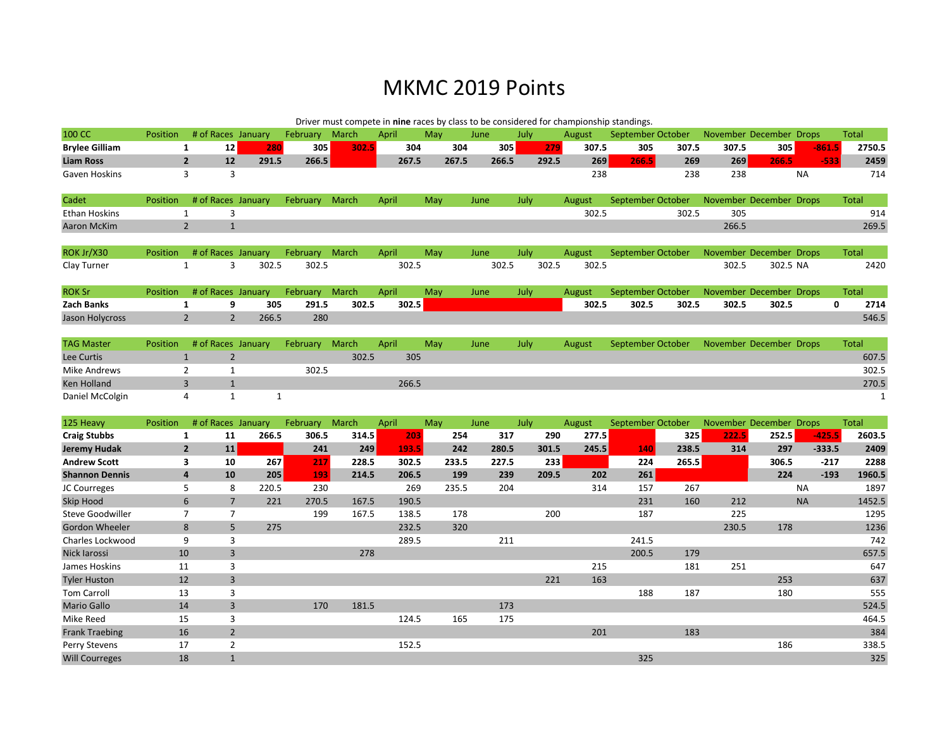## MKMC 2019 Points

|                         |                 |                |                |                    |                | Driver must compete in nine races by class to be considered for championship standings. |       |     |       |       |      |       |        |                   |       |                         |          |           |              |
|-------------------------|-----------------|----------------|----------------|--------------------|----------------|-----------------------------------------------------------------------------------------|-------|-----|-------|-------|------|-------|--------|-------------------|-------|-------------------------|----------|-----------|--------------|
| 100 CC                  | <b>Position</b> |                |                | # of Races January | February       | March                                                                                   | April | May | June  |       | July |       | August | September October |       | November December Drops |          |           | <b>Total</b> |
| <b>Brylee Gilliam</b>   |                 | $\mathbf{1}$   | 12             | 280                | 305            | 302.5                                                                                   | 304   |     | 304   | 305   |      | 279   | 307.5  | 305               | 307.5 | 307.5                   | 305      | $-861.5$  | 2750.5       |
| <b>Liam Ross</b>        |                 | $\overline{2}$ | 12             | 291.5              | 266.5          |                                                                                         | 267.5 |     | 267.5 | 266.5 |      | 292.5 | 269    | 266.5             | 269   | 269                     | 266.5    | $-533$    | 2459         |
| Gaven Hoskins           |                 | 3              | 3              |                    |                |                                                                                         |       |     |       |       |      |       | 238    |                   | 238   | 238                     |          | <b>NA</b> | 714          |
| Cadet                   | Position        |                |                | # of Races January | February March |                                                                                         | April | May | June  |       | July |       | August | September October |       | November December Drops |          |           | Total        |
| <b>Ethan Hoskins</b>    |                 | $\mathbf{1}$   | 3              |                    |                |                                                                                         |       |     |       |       |      |       | 302.5  |                   | 302.5 | 305                     |          |           | 914          |
| <b>Aaron McKim</b>      |                 | $\overline{2}$ | $\mathbf{1}$   |                    |                |                                                                                         |       |     |       |       |      |       |        |                   |       | 266.5                   |          |           | 269.5        |
| ROK Jr/X30              | <b>Position</b> |                |                | # of Races January | February       | March                                                                                   | April | May | June  |       | July |       | August | September October |       | November December Drops |          |           | <b>Total</b> |
| Clay Turner             |                 | $\mathbf{1}$   | 3              | 302.5              | 302.5          |                                                                                         | 302.5 |     |       | 302.5 |      | 302.5 | 302.5  |                   |       | 302.5                   | 302.5 NA |           | 2420         |
| <b>ROK Sr</b>           | <b>Position</b> |                |                | # of Races January | February       | March                                                                                   | April | May | June  |       | July |       | August | September October |       | November December Drops |          |           | Total        |
| <b>Zach Banks</b>       |                 | $\mathbf{1}$   | 9              | 305                | 291.5          | 302.5                                                                                   | 302.5 |     |       |       |      |       | 302.5  | 302.5             | 302.5 | 302.5                   | 302.5    | 0         | 2714         |
| Jason Holycross         |                 | $\overline{2}$ | $\overline{2}$ | 266.5              | 280            |                                                                                         |       |     |       |       |      |       |        |                   |       |                         |          |           | 546.5        |
| <b>TAG Master</b>       | Position        |                |                | # of Races January | February       | March                                                                                   | April | May | June  |       | July |       | August | September October |       | November December Drops |          |           | <b>Total</b> |
| Lee Curtis              |                 | $\mathbf{1}$   | $\overline{2}$ |                    |                | 302.5                                                                                   | 305   |     |       |       |      |       |        |                   |       |                         |          |           | 607.5        |
| <b>Mike Andrews</b>     |                 | $\overline{2}$ | 1              |                    | 302.5          |                                                                                         |       |     |       |       |      |       |        |                   |       |                         |          |           | 302.5        |
| <b>Ken Holland</b>      |                 | 3              | $\mathbf{1}$   |                    |                |                                                                                         | 266.5 |     |       |       |      |       |        |                   |       |                         |          |           | 270.5        |
| Daniel McColgin         |                 | 4              | $\mathbf{1}$   | $\mathbf{1}$       |                |                                                                                         |       |     |       |       |      |       |        |                   |       |                         |          |           | $\mathbf{1}$ |
| 125 Heavy               | Position        |                |                | # of Races January | February       | March                                                                                   | April | May | June  |       | July |       | August | September October |       | November December Drops |          |           | <b>Total</b> |
| <b>Craig Stubbs</b>     |                 | $\mathbf{1}$   | 11             | 266.5              | 306.5          | 314.5                                                                                   | 203   |     | 254   | 317   |      | 290   | 277.5  |                   | 325   | 222.5                   | 252.5    | $-425.5$  | 2603.5       |
| <b>Jeremy Hudak</b>     |                 | $\overline{2}$ | 11             |                    | 241            | 249                                                                                     | 193.5 |     | 242   | 280.5 |      | 301.5 | 245.5  | 140               | 238.5 | 314                     | 297      | $-333.5$  | 2409         |
| <b>Andrew Scott</b>     |                 | 3              | 10             | 267                | 217            | 228.5                                                                                   | 302.5 |     | 233.5 | 227.5 |      | 233   |        | 224               | 265.5 |                         | 306.5    | $-217$    | 2288         |
| <b>Shannon Dennis</b>   |                 | $\overline{a}$ | 10             | 205                | 193            | 214.5                                                                                   | 206.5 |     | 199   | 239   |      | 209.5 | 202    | 261               |       |                         | 224      | $-193$    | 1960.5       |
| JC Courreges            |                 | 5              | 8              | 220.5              | 230            |                                                                                         | 269   |     | 235.5 | 204   |      |       | 314    | 157               | 267   |                         |          | <b>NA</b> | 1897         |
| <b>Skip Hood</b>        |                 | 6              | $\overline{7}$ | 221                | 270.5          | 167.5                                                                                   | 190.5 |     |       |       |      |       |        | 231               | 160   | 212                     |          | <b>NA</b> | 1452.5       |
| <b>Steve Goodwiller</b> |                 | $\overline{7}$ | $\overline{7}$ |                    | 199            | 167.5                                                                                   | 138.5 |     | 178   |       |      | 200   |        | 187               |       | 225                     |          |           | 1295         |
| Gordon Wheeler          |                 | 8              | 5              | 275                |                |                                                                                         | 232.5 |     | 320   |       |      |       |        |                   |       | 230.5                   | 178      |           | 1236         |
| Charles Lockwood        |                 | 9              | 3              |                    |                |                                                                                         | 289.5 |     |       | 211   |      |       |        | 241.5             |       |                         |          |           | 742          |
| Nick larossi            |                 | 10             | $\overline{3}$ |                    |                | 278                                                                                     |       |     |       |       |      |       |        | 200.5             | 179   |                         |          |           | 657.5        |
| James Hoskins           |                 | 11             | 3              |                    |                |                                                                                         |       |     |       |       |      |       | 215    |                   | 181   | 251                     |          |           | 647          |
| <b>Tyler Huston</b>     |                 | 12             | $\overline{3}$ |                    |                |                                                                                         |       |     |       |       |      | 221   | 163    |                   |       |                         | 253      |           | 637          |
| <b>Tom Carroll</b>      |                 | 13             | 3              |                    |                |                                                                                         |       |     |       |       |      |       |        | 188               | 187   |                         | 180      |           | 555          |
| <b>Mario Gallo</b>      |                 | 14             | $\overline{3}$ |                    | 170            | 181.5                                                                                   |       |     |       | 173   |      |       |        |                   |       |                         |          |           | 524.5        |
| Mike Reed               |                 | 15             | $\overline{3}$ |                    |                |                                                                                         | 124.5 |     | 165   | 175   |      |       |        |                   |       |                         |          |           | 464.5        |
| <b>Frank Traebing</b>   |                 | 16             | $\overline{2}$ |                    |                |                                                                                         |       |     |       |       |      |       | 201    |                   | 183   |                         |          |           | 384          |
| Perry Stevens           |                 | 17             | $\overline{2}$ |                    |                |                                                                                         | 152.5 |     |       |       |      |       |        |                   |       |                         | 186      |           | 338.5        |
| <b>Will Courreges</b>   |                 | 18             | $\mathbf{1}$   |                    |                |                                                                                         |       |     |       |       |      |       |        | 325               |       |                         |          |           | 325          |